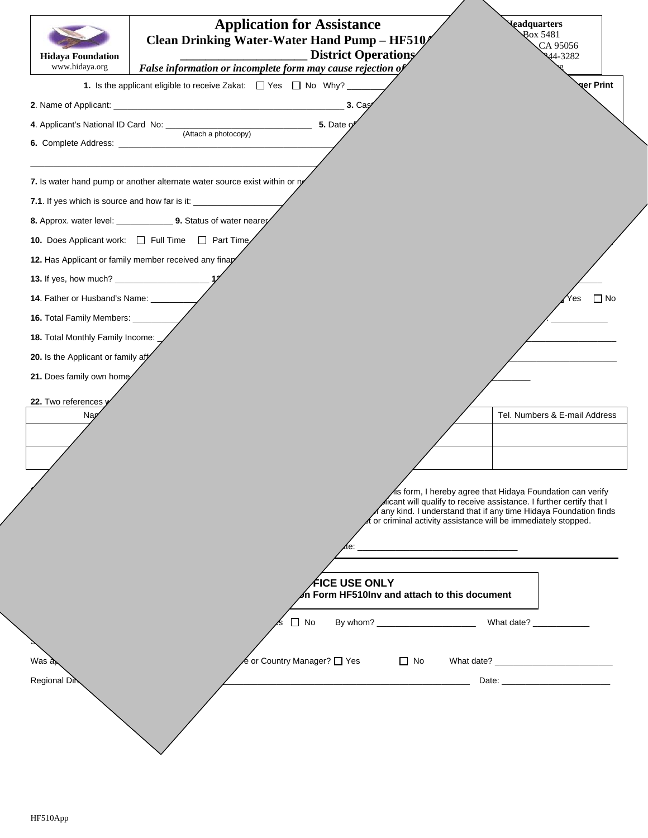| <b>Hidaya Foundation</b><br>www.hidaya.org | <b>Application for Assistance</b><br>Clean Drinking Water-Water Hand Pump - HF510/<br><b>District Operations</b><br>False information or incomplete form may cause rejection of |           | <b>Leadquarters</b><br><b>Rox 5481</b><br>CA 95056<br>44-3282                                                                                                                                                                                                       |
|--------------------------------------------|---------------------------------------------------------------------------------------------------------------------------------------------------------------------------------|-----------|---------------------------------------------------------------------------------------------------------------------------------------------------------------------------------------------------------------------------------------------------------------------|
|                                            | 1. Is the applicant eligible to receive Zakat: $\Box$ Yes $\Box$ No Why? ____                                                                                                   |           | <b>ger Print</b>                                                                                                                                                                                                                                                    |
|                                            | 3. Cay                                                                                                                                                                          |           |                                                                                                                                                                                                                                                                     |
| 4. Applicant's National ID Card No: ____   |                                                                                                                                                                                 |           |                                                                                                                                                                                                                                                                     |
|                                            | (Attach a photocopy)                                                                                                                                                            |           |                                                                                                                                                                                                                                                                     |
|                                            | 7. Is water hand pump or another alternate water source exist within or ry                                                                                                      |           |                                                                                                                                                                                                                                                                     |
|                                            | 7.1. If yes which is source and how far is it: _______________                                                                                                                  |           |                                                                                                                                                                                                                                                                     |
|                                            | 8. Approx. water level: ________________ 9. Status of water nearey                                                                                                              |           |                                                                                                                                                                                                                                                                     |
|                                            | 10. Does Applicant work:<br>$\Box$ Full Time $\Box$ Part Time                                                                                                                   |           |                                                                                                                                                                                                                                                                     |
|                                            | 12. Has Applicant or family member received any finap                                                                                                                           |           |                                                                                                                                                                                                                                                                     |
|                                            |                                                                                                                                                                                 |           |                                                                                                                                                                                                                                                                     |
| 14. Father or Husband's Name: ______       |                                                                                                                                                                                 |           | $\Box$ No<br>Yes                                                                                                                                                                                                                                                    |
| 16. Total Family Members: ______           |                                                                                                                                                                                 |           |                                                                                                                                                                                                                                                                     |
| 18. Total Monthly Family Income:           |                                                                                                                                                                                 |           |                                                                                                                                                                                                                                                                     |
| 20. Is the Applicant or family aff         |                                                                                                                                                                                 |           |                                                                                                                                                                                                                                                                     |
| 21. Does family own home                   |                                                                                                                                                                                 |           |                                                                                                                                                                                                                                                                     |
| 22. Two references y                       |                                                                                                                                                                                 |           |                                                                                                                                                                                                                                                                     |
| Nap                                        |                                                                                                                                                                                 |           | Tel. Numbers & E-mail Address                                                                                                                                                                                                                                       |
|                                            |                                                                                                                                                                                 |           |                                                                                                                                                                                                                                                                     |
|                                            |                                                                                                                                                                                 |           |                                                                                                                                                                                                                                                                     |
|                                            |                                                                                                                                                                                 |           |                                                                                                                                                                                                                                                                     |
|                                            |                                                                                                                                                                                 |           | is form, I hereby agree that Hidaya Foundation can verify<br>licant will qualify to receive assistance. I further certify that I<br>any kind. I understand that if any time Hidaya Foundation finds<br>or criminal activity assistance will be immediately stopped. |
|                                            |                                                                                                                                                                                 |           |                                                                                                                                                                                                                                                                     |
|                                            | <b>FICE USE ONLY</b><br>n Form HF510Inv and attach to this document                                                                                                             |           |                                                                                                                                                                                                                                                                     |
|                                            | $\Box$ No                                                                                                                                                                       |           |                                                                                                                                                                                                                                                                     |
|                                            |                                                                                                                                                                                 |           |                                                                                                                                                                                                                                                                     |
| $W$ as $\partial \phi$                     | e or Country Manager? □ Yes                                                                                                                                                     | $\Box$ No |                                                                                                                                                                                                                                                                     |
| Regional Dir                               |                                                                                                                                                                                 |           |                                                                                                                                                                                                                                                                     |
|                                            |                                                                                                                                                                                 |           |                                                                                                                                                                                                                                                                     |
|                                            |                                                                                                                                                                                 |           |                                                                                                                                                                                                                                                                     |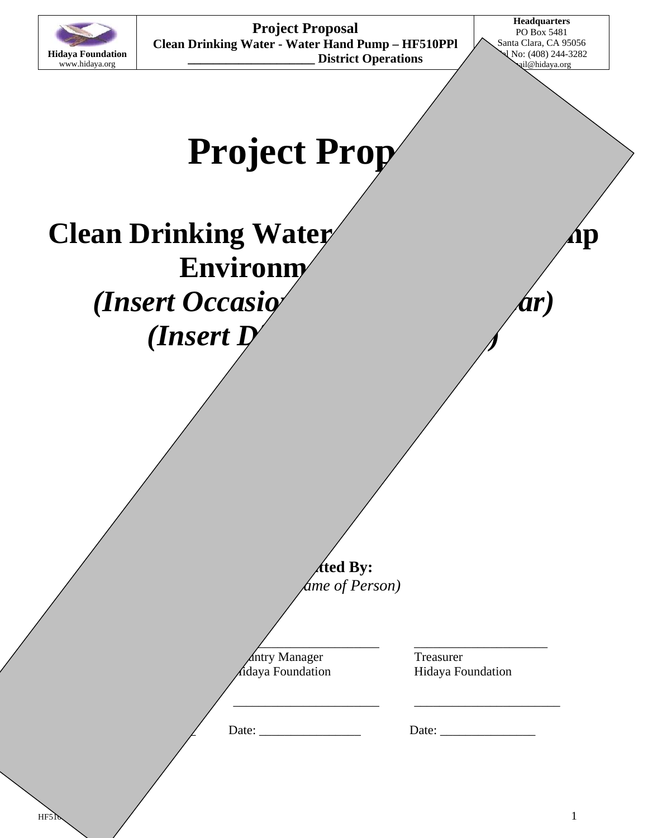

**Project Proposal Clean Drinking Water - Water Hand Pump – HF510PPl \_\_\_\_\_\_\_\_\_\_\_\_\_\_\_\_\_\_\_\_ District Operations** 

**Headquarters**  PO Box 5481 Santa Clara, CA 95056 I No: (408) 244-3282 ail@hidaya.org

# **Project Prop**

# **Clean Drinking Water**  $\bigwedge$  **Ap Environm** *(Insert Occasio) <i>Ar Ar (Insert D)*

*sted By: (Insert Name of Person)* 

**President Countries And Treasurer Treasurer** 

 $\frac{1}{\sqrt{1-\frac{1}{2}+\frac{1}{2}+\frac{1}{2}+\frac{1}{2}+\frac{1}{2}+\frac{1}{2}+\frac{1}{2}+\frac{1}{2}+\frac{1}{2}+\frac{1}{2}+\frac{1}{2}+\frac{1}{2}+\frac{1}{2}+\frac{1}{2}+\frac{1}{2}+\frac{1}{2}+\frac{1}{2}+\frac{1}{2}+\frac{1}{2}+\frac{1}{2}+\frac{1}{2}+\frac{1}{2}+\frac{1}{2}+\frac{1}{2}+\frac{1}{2}+\frac{1}{2}+\frac{1}{2}+\frac{1}{2}+\frac{1}{2}+\frac{1}{2}+\$ 

 $\overline{\phantom{a}}$  , and the contract of  $\overline{\phantom{a}}$  , and  $\overline{\phantom{a}}$  , and  $\overline{\phantom{a}}$  , and  $\overline{\phantom{a}}$  , and  $\overline{\phantom{a}}$ 

Hidaya Foundation Hidaya Foundation Hidaya Foundation

Date: \_\_\_\_\_\_\_\_\_\_\_\_\_\_\_\_\_\_\_\_ Date: \_\_\_\_\_\_\_\_\_\_\_\_\_\_\_\_ Date: \_\_\_\_\_\_\_\_\_\_\_\_\_\_\_

**Approvals:**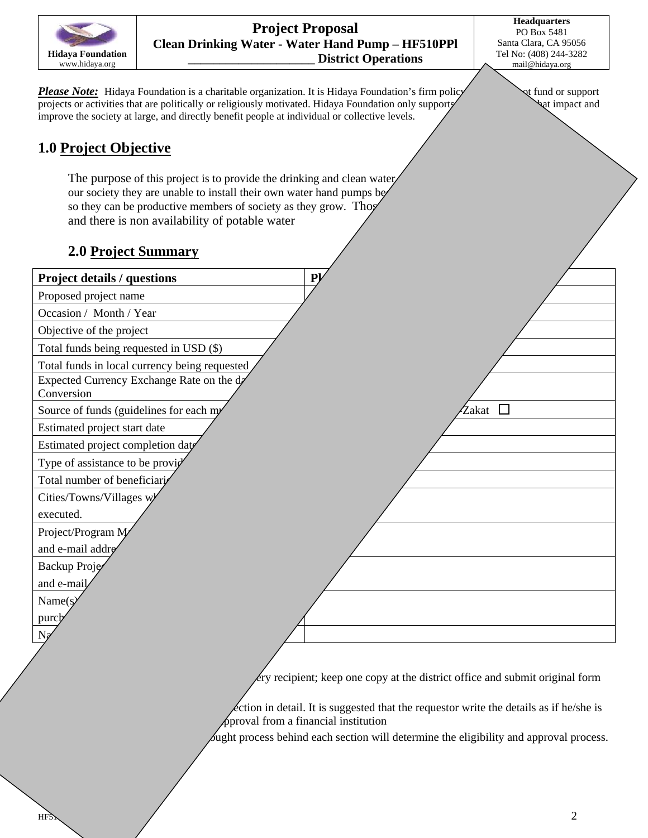

**Project Proposal Clean Drinking Water - Water Hand Pump – HF510PPl \_\_\_\_\_\_\_\_\_\_\_\_\_\_\_\_\_\_\_\_ District Operations** 

**Headquarters**  PO Box 5481 Santa Clara, CA 95056 Tel No: (408) 244-3282 mail@hidaya.org

*Please Note:* Hidaya Foundation is a charitable organization. It is Hidaya Foundation's firm policy vert fund or support projects or activities that are politically or religiously motivated. Hidaya Foundation only supports projects or activities that are politically or religiously motivated. Hidaya Foundation only supports improve the society at large, and directly benefit people at individual or collective levels.

### **1.0 Project Objective**

The purpose of this project is to provide the drinking and clean water our society they are unable to install their own water hand pumps be so they can be productive members of society as they grow. Those and there is non availability of potable water

#### **2.0 Project Summary**

| <b>Project details / questions</b>                      | P <sub>k</sub>                                               |
|---------------------------------------------------------|--------------------------------------------------------------|
| Proposed project name                                   |                                                              |
| Occasion / Month / Year                                 |                                                              |
| Objective of the project                                |                                                              |
| Total funds being requested in USD (\$)                 |                                                              |
| Total funds in local currency being requested           |                                                              |
| Expected Currency Exchange Rate on the da<br>Conversion |                                                              |
| Source of funds (guidelines for each my                 | Zakat                                                        |
| Estimated project start date                            |                                                              |
| Estimated project completion date                       |                                                              |
| Type of assistance to be provid                         |                                                              |
| Total number of beneficiari                             |                                                              |
| Cities/Towns/Villages w                                 |                                                              |
| executed.                                               |                                                              |
| Project/Program M                                       |                                                              |
| and e-mail addre                                        |                                                              |
| Backup Proje                                            |                                                              |
| and e-mail                                              |                                                              |
| Name(s)                                                 |                                                              |
| purch                                                   |                                                              |
|                                                         |                                                              |
|                                                         |                                                              |
|                                                         | ery recipient; keep one copy at the district office and subn |
|                                                         |                                                              |

one copy at the district office and submit original form

 $\angle$  extion in detail. It is suggested that the requestor write the details as if he/she is  $\phi$ proval from a financial institution

Sught process behind each section will determine the eligibility and approval process.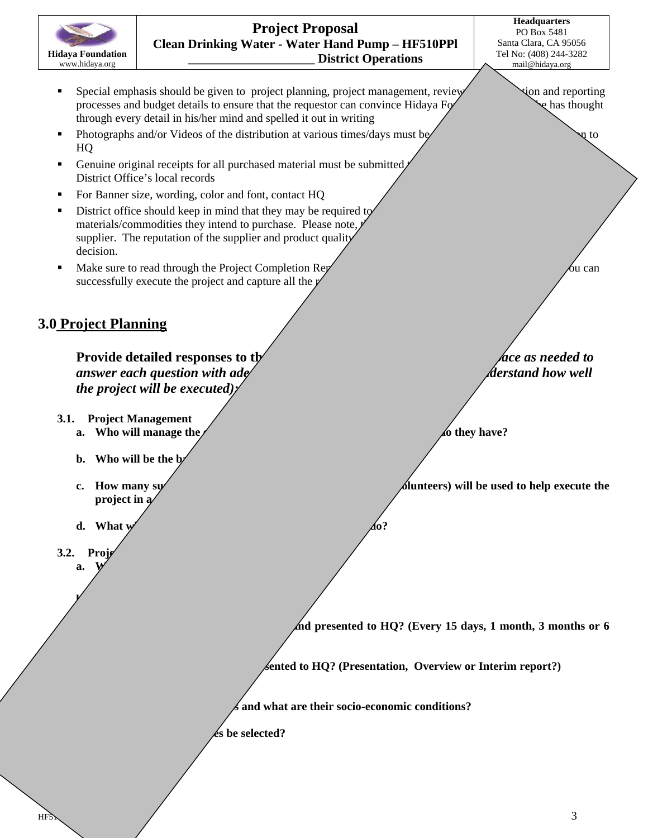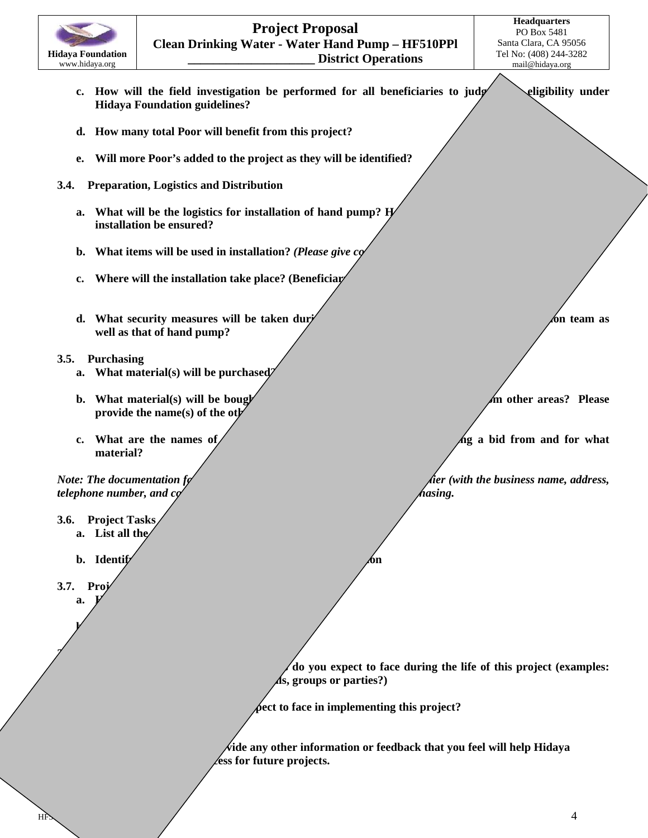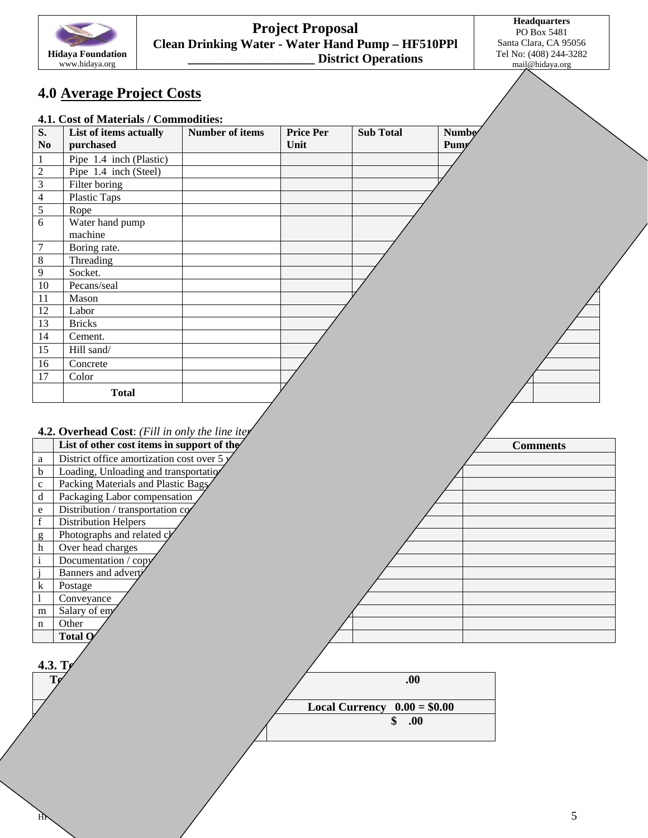

#### **Project Proposal Clean Drinking Water - Water Hand Pump – HF510PPl \_\_\_\_\_\_\_\_\_\_\_\_\_\_\_\_\_\_\_\_ District Operations**

**Headquarters**  PO Box 5481 Santa Clara, CA 95056 Tel No: (408) 244-3282 mail@hidaya.org

## **4.0 Average Project Costs**

#### **4.1. Cost of Materials / Commodities:**

| $\overline{\mathbf{S}}$ . | List of items actually     | <b>Number of items</b> | <b>Price Per</b> | <b>Sub Total</b> | Numbe |  |
|---------------------------|----------------------------|------------------------|------------------|------------------|-------|--|
| $\bf No$                  | purchased                  |                        | Unit             |                  | Pumy  |  |
| $\mathbf{1}$              | Pipe $1.4$ inch (Plastic)  |                        |                  |                  |       |  |
| $\overline{2}$            | Pipe 1.4 inch (Steel)      |                        |                  |                  |       |  |
| $\overline{3}$            | Filter boring              |                        |                  |                  |       |  |
| $\overline{4}$            | Plastic Taps               |                        |                  |                  |       |  |
| 5                         | Rope                       |                        |                  |                  |       |  |
| 6                         | Water hand pump<br>machine |                        |                  |                  |       |  |
| $\overline{7}$            | Boring rate.               |                        |                  |                  |       |  |
| $\overline{8}$            | Threading                  |                        |                  |                  |       |  |
| 9                         | Socket.                    |                        |                  |                  |       |  |
| 10                        | Pecans/seal                |                        |                  |                  |       |  |
| 11                        | Mason                      |                        |                  |                  |       |  |
| 12                        | Labor                      |                        |                  |                  |       |  |
| 13                        | <b>Bricks</b>              |                        |                  |                  |       |  |
| 14                        | Cement.                    |                        |                  |                  |       |  |
| 15                        | Hill sand/                 |                        |                  |                  |       |  |
| 16                        | Concrete                   |                        |                  |                  |       |  |
| 17                        | Color                      |                        |                  |                  |       |  |
|                           | <b>Total</b>               |                        |                  |                  |       |  |
|                           |                            |                        |                  |                  |       |  |

#### **4.2. Overhead Cost**: *(Fill in only the line itey*

| 4.3. $T_{\ell}$ |  |  |
|-----------------|--|--|
|                 |  |  |
|                 |  |  |

| ${\bf .00}$                   |
|-------------------------------|
|                               |
| Local Currency $0.00 = $0.00$ |
| .00                           |
|                               |